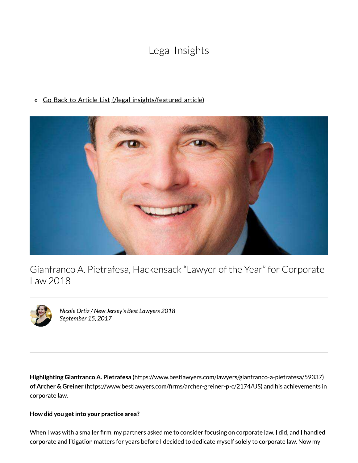# Legal Insights

« Go Back to Article List (/legal-insights/featured-article)



Gianfranco A. Pietrafesa, Hackensack "Lawyer of the Year" for Corporate Law 2018



Nicole Ortiz / New Jersey's Best Lawyers 2018 September 15, 2017

Highlighting Gianfranco A. Pietrafesa (https://www.bestlawyers.com/lawyers/gianfranco-a-pietrafesa/59337) of Archer & Greiner (https://www.bestlawyers.com/firms/archer-greiner-p-c/2174/US) and his achievements in corporate law.

## How did you get into your practice area?

When I was with a smaller firm, my partners asked me to consider focusing on corporate law. I did, and I handled corporate and litigation matters for years before I decided to dedicate myself solely to corporate law. Now my